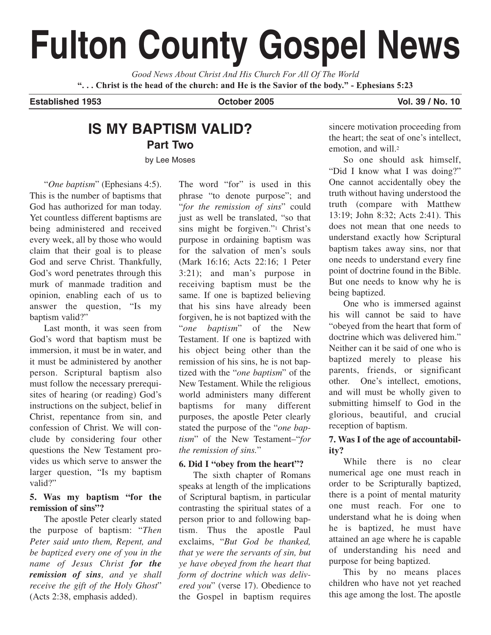# **Fulton County Gospel News**

*Good News About Christ And His Church For All Of The World* **". . . Christ is the head of the church: and He is the Savior of the body." - Ephesians 5:23**

#### **Established 1953 October 2005 Vol. 39 / No. 10**

# **IS MY BAPTISM VALID? Part Two**

by Lee Moses

"*One baptism*" (Ephesians 4:5). This is the number of baptisms that God has authorized for man today. Yet countless different baptisms are being administered and received every week, all by those who would claim that their goal is to please God and serve Christ. Thankfully, God's word penetrates through this murk of manmade tradition and opinion, enabling each of us to answer the question, "Is my baptism valid?"

Last month, it was seen from God's word that baptism must be immersion, it must be in water, and it must be administered by another person. Scriptural baptism also must follow the necessary prerequisites of hearing (or reading) God's instructions on the subject, belief in Christ, repentance from sin, and confession of Christ. We will conclude by considering four other questions the New Testament provides us which serve to answer the larger question, "Is my baptism valid?"

### **5. Was my baptism "for the remission of sins"?**

The apostle Peter clearly stated the purpose of baptism: "*Then Peter said unto them, Repent, and be baptized every one of you in the name of Jesus Christ for the remission of sins, and ye shall receive the gift of the Holy Ghost*" (Acts 2:38, emphasis added).

The word "for" is used in this phrase "to denote purpose"; and "*for the remission of sins*" could just as well be translated, "so that sins might be forgiven."1 Christ's purpose in ordaining baptism was for the salvation of men's souls (Mark 16:16; Acts 22:16; 1 Peter 3:21); and man's purpose in receiving baptism must be the same. If one is baptized believing that his sins have already been forgiven, he is not baptized with the "*one baptism*" of the New Testament. If one is baptized with his object being other than the remission of his sins, he is not baptized with the "*one baptism*" of the New Testament. While the religious world administers many different baptisms for many different purposes, the apostle Peter clearly stated the purpose of the "*one baptism*" of the New Testament–"*for the remission of sins.*"

# **6. Did I "obey from the heart"?**

The sixth chapter of Romans speaks at length of the implications of Scriptural baptism, in particular contrasting the spiritual states of a person prior to and following baptism. Thus the apostle Paul exclaims, "*But God be thanked, that ye were the servants of sin, but ye have obeyed from the heart that form of doctrine which was delivered you*" (verse 17). Obedience to the Gospel in baptism requires sincere motivation proceeding from the heart; the seat of one's intellect, emotion, and will.2

So one should ask himself, "Did I know what I was doing?" One cannot accidentally obey the truth without having understood the truth (compare with Matthew 13:19; John 8:32; Acts 2:41). This does not mean that one needs to understand exactly how Scriptural baptism takes away sins, nor that one needs to understand every fine point of doctrine found in the Bible. But one needs to know why he is being baptized.

One who is immersed against his will cannot be said to have "obeyed from the heart that form of doctrine which was delivered him." Neither can it be said of one who is baptized merely to please his parents, friends, or significant other. One's intellect, emotions, and will must be wholly given to submitting himself to God in the glorious, beautiful, and crucial reception of baptism.

# **7. Was I of the age of accountability?**

While there is no clear numerical age one must reach in order to be Scripturally baptized, there is a point of mental maturity one must reach. For one to understand what he is doing when he is baptized, he must have attained an age where he is capable of understanding his need and purpose for being baptized.

This by no means places children who have not yet reached this age among the lost. The apostle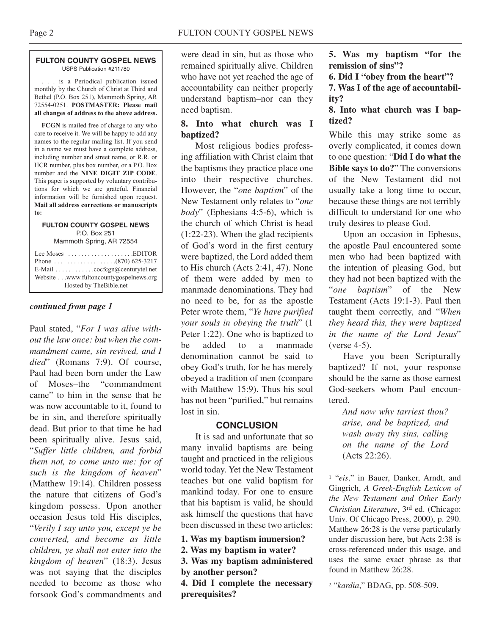#### **FULTON COUNTY GOSPEL NEWS** USPS Publication #211780

. . . is a Periodical publication issued monthly by the Church of Christ at Third and Bethel (P.O. Box 251), Mammoth Spring, AR 72554-0251. **POSTMASTER: Please mail all changes of address to the above address.**

**FCGN** is mailed free of charge to any who care to receive it. We will be happy to add any names to the regular mailing list. If you send in a name we must have a complete address, including number and street name, or R.R. or HCR number, plus box number, or a P.O. Box number and the **NINE DIGIT ZIP CODE**. This paper is supported by voluntary contributions for which we are grateful. Financial information will be furnished upon request. **Mail all address corrections or manuscripts to:**

#### **FULTON COUNTY GOSPEL NEWS** P.O. Box 251

Mammoth Spring, AR 72554

| Lee Moses $\dots\dots\dots\dots\dots\dots$ . EDITOR<br>E-Mail cocfcgn@centurytel.net<br>Website www.fultoncountygospelnews.org |
|--------------------------------------------------------------------------------------------------------------------------------|
| Hosted by TheBible.net                                                                                                         |

#### *continued from page 1*

Paul stated, "*For I was alive without the law once: but when the commandment came, sin revived, and I died*" (Romans 7:9). Of course, Paul had been born under the Law of Moses–the "commandment came" to him in the sense that he was now accountable to it, found to be in sin, and therefore spiritually dead. But prior to that time he had been spiritually alive. Jesus said, "*Suffer little children, and forbid them not, to come unto me: for of such is the kingdom of heaven*" (Matthew 19:14). Children possess the nature that citizens of God's kingdom possess. Upon another occasion Jesus told His disciples, "*Verily I say unto you, except ye be converted, and become as little children, ye shall not enter into the kingdom of heaven*" (18:3). Jesus was not saying that the disciples needed to become as those who forsook God's commandments and

were dead in sin, but as those who remained spiritually alive. Children who have not yet reached the age of accountability can neither properly understand baptism–nor can they need baptism.

### **8. Into what church was I baptized?**

Most religious bodies professing affiliation with Christ claim that the baptisms they practice place one into their respective churches. However, the "*one baptism*" of the New Testament only relates to "*one body*" (Ephesians 4:5-6), which is the church of which Christ is head (1:22-23). When the glad recipients of God's word in the first century were baptized, the Lord added them to His church (Acts 2:41, 47). None of them were added by men to manmade denominations. They had no need to be, for as the apostle Peter wrote them, "*Ye have purified your souls in obeying the truth*" (1 Peter 1:22). One who is baptized to be added to a manmade denomination cannot be said to obey God's truth, for he has merely obeyed a tradition of men (compare with Matthew 15:9). Thus his soul has not been "purified," but remains lost in sin.

#### **CONCLUSION**

It is sad and unfortunate that so many invalid baptisms are being taught and practiced in the religious world today. Yet the New Testament teaches but one valid baptism for mankind today. For one to ensure that his baptism is valid, he should ask himself the questions that have been discussed in these two articles:

- **1. Was my baptism immersion?**
- **2. Was my baptism in water?**

**3. Was my baptism administered by another person?**

**4. Did I complete the necessary prerequisites?**

**5. Was my baptism "for the remission of sins"?**

**6. Did I "obey from the heart"?**

**7. Was I of the age of accountability?**

### **8. Into what church was I baptized?**

While this may strike some as overly complicated, it comes down to one question: "**Did I do what the Bible says to do?**" The conversions of the New Testament did not usually take a long time to occur, because these things are not terribly difficult to understand for one who truly desires to please God.

Upon an occasion in Ephesus, the apostle Paul encountered some men who had been baptized with the intention of pleasing God, but they had not been baptized with the "*one baptism*" of the New Testament (Acts 19:1-3). Paul then taught them correctly, and "*When they heard this, they were baptized in the name of the Lord Jesus*" (verse 4-5).

Have you been Scripturally baptized? If not, your response should be the same as those earnest God-seekers whom Paul encountered.

*And now why tarriest thou? arise, and be baptized, and wash away thy sins, calling on the name of the Lord* (Acts 22:26).

<sup>1</sup> "*eis*," in Bauer, Danker, Arndt, and Gingrich, *A Greek-English Lexicon of the New Testament and Other Early Christian Literature*, 3rd ed. (Chicago: Univ. Of Chicago Press, 2000), p. 290. Matthew 26:28 is the verse particularly under discussion here, but Acts 2:38 is cross-referenced under this usage, and uses the same exact phrase as that found in Matthew 26:28.

<sup>2</sup> "*kardia*," BDAG, pp. 508-509.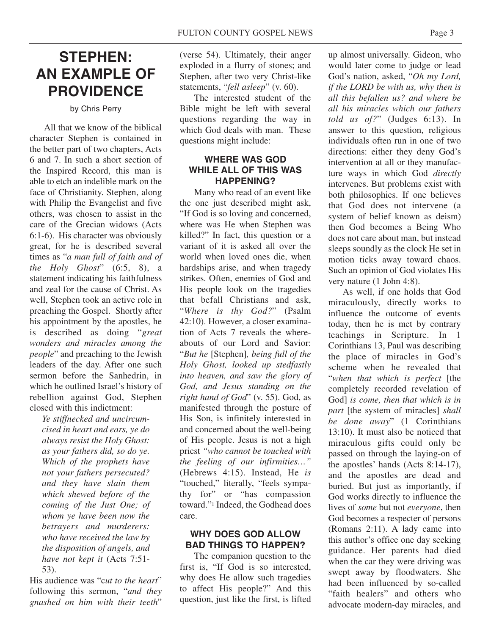# **STEPHEN: AN EXAMPLE OF PROVIDENCE**

by Chris Perry

All that we know of the biblical character Stephen is contained in the better part of two chapters, Acts 6 and 7. In such a short section of the Inspired Record, this man is able to etch an indelible mark on the face of Christianity. Stephen, along with Philip the Evangelist and five others, was chosen to assist in the care of the Grecian widows (Acts 6:1-6). His character was obviously great, for he is described several times as "*a man full of faith and of the Holy Ghost*" (6:5, 8), a statement indicating his faithfulness and zeal for the cause of Christ. As well, Stephen took an active role in preaching the Gospel. Shortly after his appointment by the apostles, he is described as doing "*great wonders and miracles among the people*" and preaching to the Jewish leaders of the day. After one such sermon before the Sanhedrin in which he outlined Israel's history of rebellion against God, Stephen closed with this indictment:

*Ye stiffnecked and uncircumcised in heart and ears, ye do always resist the Holy Ghost: as your fathers did, so do ye. Which of the prophets have not your fathers persecuted? and they have slain them which shewed before of the coming of the Just One; of whom ye have been now the betrayers and murderers: who have received the law by the disposition of angels, and have not kept it* (Acts 7:51- 53).

His audience was "c*ut to the heart*" following this sermon, "*and they gnashed on him with their teeth*"

(verse 54). Ultimately, their anger exploded in a flurry of stones; and Stephen, after two very Christ-like statements, "*fell asleep*" (v. 60).

The interested student of the Bible might be left with several questions regarding the way in which God deals with man. These questions might include:

#### **WHERE WAS GOD WHILE ALL OF THIS WAS HAPPENING?**

Many who read of an event like the one just described might ask, "If God is so loving and concerned, where was He when Stephen was killed?" In fact, this question or a variant of it is asked all over the world when loved ones die, when hardships arise, and when tragedy strikes. Often, enemies of God and His people look on the tragedies that befall Christians and ask, "*Where is thy God?*" (Psalm 42:10). However, a closer examination of Acts 7 reveals the whereabouts of our Lord and Savior: "*But he* [Stephen]*, being full of the Holy Ghost, looked up stedfastly into heaven, and saw the glory of God, and Jesus standing on the right hand of God*" (v. 55). God, as manifested through the posture of His Son, is infinitely interested in and concerned about the well-being of His people. Jesus is not a high priest *"who cannot be touched with the feeling of our infirmities…"* (Hebrews 4:15). Instead, He *is* "touched," literally, "feels sympathy for" or "has compassion toward."1 Indeed, the Godhead does care.

# **WHY DOES GOD ALLOW BAD THINGS TO HAPPEN?**

The companion question to the first is, "If God is so interested, why does He allow such tragedies to affect His people?" And this question, just like the first, is lifted

up almost universally. Gideon, who would later come to judge or lead God's nation, asked, "*Oh my Lord, if the LORD be with us, why then is all this befallen us? and where be all his miracles which our fathers told us of?*" (Judges 6:13). In answer to this question, religious individuals often run in one of two directions: either they deny God's intervention at all or they manufacture ways in which God *directly* intervenes. But problems exist with both philosophies. If one believes that God does not intervene (a system of belief known as deism) then God becomes a Being Who does not care about man, but instead sleeps soundly as the clock He set in motion ticks away toward chaos. Such an opinion of God violates His very nature (1 John 4:8).

As well, if one holds that God miraculously, directly works to influence the outcome of events today, then he is met by contrary teachings in Scripture. In 1 Corinthians 13, Paul was describing the place of miracles in God's scheme when he revealed that "*when that which is perfect* [the completely recorded revelation of God] *is come, then that which is in part* [the system of miracles] *shall be done away*" (1 Corinthians 13:10). It must also be noticed that miraculous gifts could only be passed on through the laying-on of the apostles' hands (Acts 8:14-17), and the apostles are dead and buried. But just as importantly, if God works directly to influence the lives of *some* but not *everyone*, then God becomes a respecter of persons (Romans 2:11). A lady came into this author's office one day seeking guidance. Her parents had died when the car they were driving was swept away by floodwaters. She had been influenced by so-called "faith healers" and others who advocate modern-day miracles, and